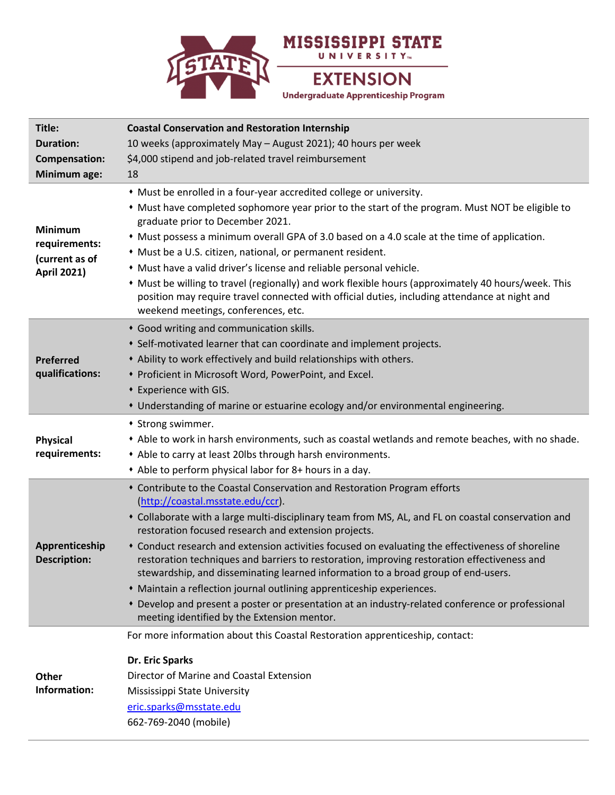

| Title:<br><b>Duration:</b><br>Compensation:                             | <b>Coastal Conservation and Restoration Internship</b><br>10 weeks (approximately May - August 2021); 40 hours per week<br>\$4,000 stipend and job-related travel reimbursement                                                                                                                                                                                                                                                                                                                                                                                                                                                                                                                                                                                                                 |
|-------------------------------------------------------------------------|-------------------------------------------------------------------------------------------------------------------------------------------------------------------------------------------------------------------------------------------------------------------------------------------------------------------------------------------------------------------------------------------------------------------------------------------------------------------------------------------------------------------------------------------------------------------------------------------------------------------------------------------------------------------------------------------------------------------------------------------------------------------------------------------------|
| Minimum age:                                                            | 18                                                                                                                                                                                                                                                                                                                                                                                                                                                                                                                                                                                                                                                                                                                                                                                              |
| <b>Minimum</b><br>requirements:<br>(current as of<br><b>April 2021)</b> | • Must be enrolled in a four-year accredited college or university.<br>• Must have completed sophomore year prior to the start of the program. Must NOT be eligible to<br>graduate prior to December 2021.<br>• Must possess a minimum overall GPA of 3.0 based on a 4.0 scale at the time of application.<br>* Must be a U.S. citizen, national, or permanent resident.<br>• Must have a valid driver's license and reliable personal vehicle.<br>* Must be willing to travel (regionally) and work flexible hours (approximately 40 hours/week. This<br>position may require travel connected with official duties, including attendance at night and<br>weekend meetings, conferences, etc.                                                                                                  |
| Preferred<br>qualifications:                                            | • Good writing and communication skills.<br>• Self-motivated learner that can coordinate and implement projects.<br>• Ability to work effectively and build relationships with others.<br>* Proficient in Microsoft Word, PowerPoint, and Excel.<br>• Experience with GIS.<br>• Understanding of marine or estuarine ecology and/or environmental engineering.                                                                                                                                                                                                                                                                                                                                                                                                                                  |
| <b>Physical</b><br>requirements:                                        | • Strong swimmer.<br>* Able to work in harsh environments, such as coastal wetlands and remote beaches, with no shade.<br>• Able to carry at least 20lbs through harsh environments.<br>• Able to perform physical labor for 8+ hours in a day.                                                                                                                                                                                                                                                                                                                                                                                                                                                                                                                                                 |
| Apprenticeship<br><b>Description:</b>                                   | * Contribute to the Coastal Conservation and Restoration Program efforts<br>(http://coastal.msstate.edu/ccr).<br>• Collaborate with a large multi-disciplinary team from MS, AL, and FL on coastal conservation and<br>restoration focused research and extension projects.<br>* Conduct research and extension activities focused on evaluating the effectiveness of shoreline<br>restoration techniques and barriers to restoration, improving restoration effectiveness and<br>stewardship, and disseminating learned information to a broad group of end-users.<br>• Maintain a reflection journal outlining apprenticeship experiences.<br>* Develop and present a poster or presentation at an industry-related conference or professional<br>meeting identified by the Extension mentor. |
| <b>Other</b><br>Information:                                            | For more information about this Coastal Restoration apprenticeship, contact:<br>Dr. Eric Sparks<br>Director of Marine and Coastal Extension<br>Mississippi State University<br>eric.sparks@msstate.edu<br>662-769-2040 (mobile)                                                                                                                                                                                                                                                                                                                                                                                                                                                                                                                                                                 |